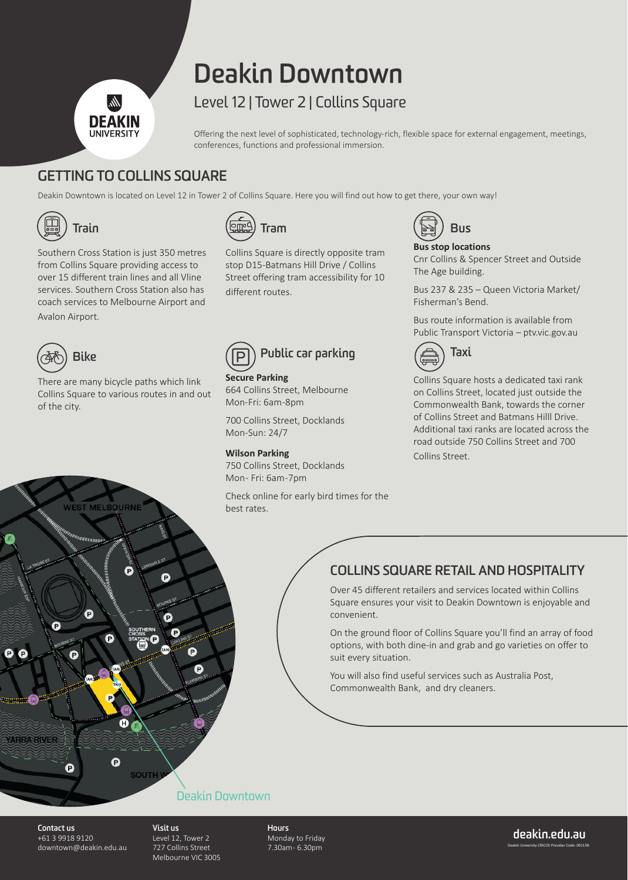# **Deakin Downtown**

## Level 12 | Tower 2 | Collins Square

Offering the next level of sophisticated, technology-rich, flexible space for external engagement, meetings, conferences, functions and professional immersion.

### **GETTING TO COLLINS SQUARE**

DEAKIN **IINIVERSIT** 

Deakin Downtown is located on Level 12 in Tower 2 of Collins Square. Here you will find out how to get there, your own way!



| $\sqrt{\frac{6.50}{2}}$ Halll |                                               |
|-------------------------------|-----------------------------------------------|
|                               | Southern Cross Station is just 350 metres     |
|                               | fue us Celline Courane musicalism e sesses to |

from Collins Square providing access to over 15 different train lines and all Vline services. Southern Cross Station also has coach services to Melbourne Airport and Avalon Airport.



There are many bicycle paths which link Collins Square to various routes in and out of the city.



Collins Square is directly opposite tram stop D15-Batmans Hill Drive / Collins Street offering tram accessibility for 10 different routes.

# **Public car parking**

**Secure Parking** 664 Collins Street, Melbourne Mon-Fri: 6am -8pm

700 Collins Street, Docklands Mon-Sun: 24/7

**Wilson Parking** 750 Collins Street, Docklands Mon-Fri: 6am-7pm

Check online for early bird times for the best rates.



### **Bus stop locations**

Cnr Collins & Spencer Street and Outside The Age building.

Bus 237 & 235 – Queen Victoria Market/ Fisherman's Bend.

Bus route information is available from Public Transport Victoria – ptv.vic.gov.au



Collins Square hosts a dedicated taxi rank on Collins Street, located just outside the Commonwealth Bank, towards the corner of Collins Street and Batmans Hilll Drive. Additional taxi ranks are located across the road outside 750 Collins Street and 700 Collins Street.

### **COLLINS SQUARE RETAIL AND HOSPITALITY**

Over 45 different retailers and services located within Collins Square ensures your visit to Deakin Downtown is enjoyable and convenient.

On the ground floor of Collins Square you'll find an array of food options, with both dine-in and grab and go varieties on offer to suit every situation.

You will also find useful services such as Australia Post, Commonwealth Bank, and dry cleaners.



### Deakin Downtown

**Contact us**  +61 3 9918 9120 downtown@deakin.edu.au **Visit us**  Level 12, Tower 2 727 Collins Street Melbourne VIC 3005

**Hours**  Monday to Friday 7.30am - 6.30pm

Deakin University CRICOS Provider Code: 00113B **deakin.edu.au**